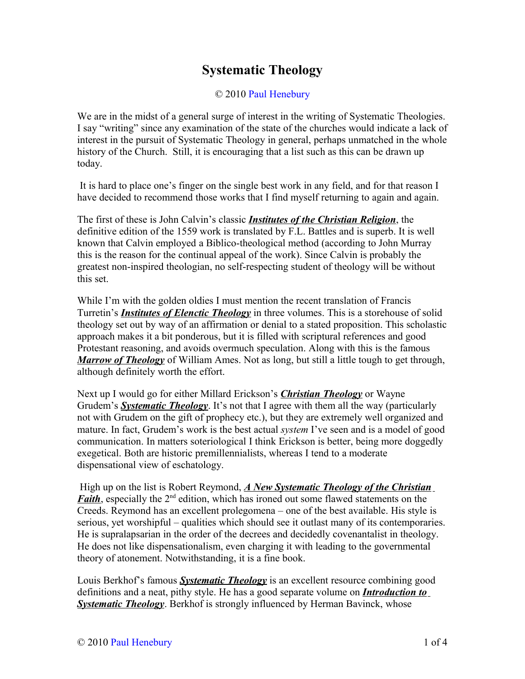## **Systematic Theology**

## © 2010 [Paul Henebury](http://www.spiritandtruth.org/id/ph.htm)

We are in the midst of a general surge of interest in the writing of Systematic Theologies. I say "writing" since any examination of the state of the churches would indicate a lack of interest in the pursuit of Systematic Theology in general, perhaps unmatched in the whole history of the Church. Still, it is encouraging that a list such as this can be drawn up today.

It is hard to place one's finger on the single best work in any field, and for that reason I have decided to recommend those works that I find myself returning to again and again.

The first of these is John Calvin's classic *Institutes of the Christian Religion*, the definitive edition of the 1559 work is translated by F.L. Battles and is superb. It is well known that Calvin employed a Biblico-theological method (according to John Murray this is the reason for the continual appeal of the work). Since Calvin is probably the greatest non-inspired theologian, no self-respecting student of theology will be without this set.

While I'm with the golden oldies I must mention the recent translation of Francis Turretin's *Institutes of Elenctic Theology* in three volumes. This is a storehouse of solid theology set out by way of an affirmation or denial to a stated proposition. This scholastic approach makes it a bit ponderous, but it is filled with scriptural references and good Protestant reasoning, and avoids overmuch speculation. Along with this is the famous *Marrow of Theology* of William Ames. Not as long, but still a little tough to get through, although definitely worth the effort.

Next up I would go for either Millard Erickson's *Christian Theology* or Wayne Grudem's *Systematic Theology*. It's not that I agree with them all the way (particularly not with Grudem on the gift of prophecy etc.), but they are extremely well organized and mature. In fact, Grudem's work is the best actual *system* I've seen and is a model of good communication. In matters soteriological I think Erickson is better, being more doggedly exegetical. Both are historic premillennialists, whereas I tend to a moderate dispensational view of eschatology.

 High up on the list is Robert Reymond, *A New Systematic Theology of the Christian Faith*, especially the 2<sup>nd</sup> edition, which has ironed out some flawed statements on the Creeds. Reymond has an excellent prolegomena – one of the best available. His style is serious, yet worshipful – qualities which should see it outlast many of its contemporaries. He is supralapsarian in the order of the decrees and decidedly covenantalist in theology. He does not like dispensationalism, even charging it with leading to the governmental theory of atonement. Notwithstanding, it is a fine book.

Louis Berkhof's famous *Systematic Theology* is an excellent resource combining good definitions and a neat, pithy style. He has a good separate volume on *Introduction to Systematic Theology*. Berkhof is strongly influenced by Herman Bavinck, whose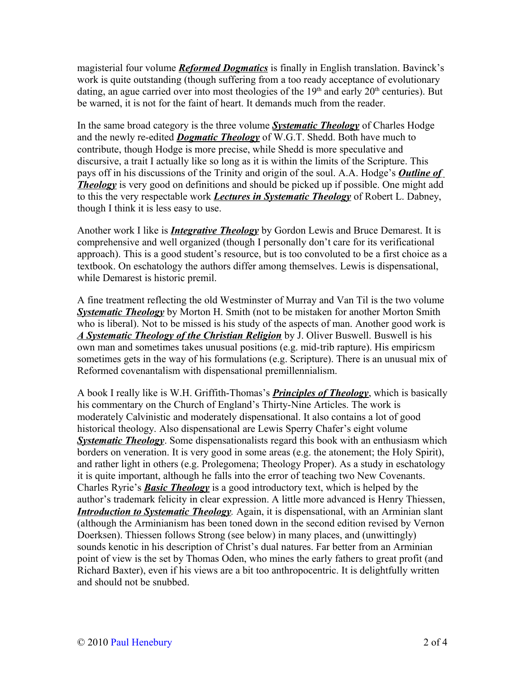magisterial four volume *Reformed Dogmatics* is finally in English translation. Bavinck's work is quite outstanding (though suffering from a too ready acceptance of evolutionary dating, an ague carried over into most theologies of the  $19<sup>th</sup>$  and early  $20<sup>th</sup>$  centuries). But be warned, it is not for the faint of heart. It demands much from the reader.

In the same broad category is the three volume *Systematic Theology* of Charles Hodge and the newly re-edited *Dogmatic Theology* of W.G.T. Shedd. Both have much to contribute, though Hodge is more precise, while Shedd is more speculative and discursive, a trait I actually like so long as it is within the limits of the Scripture. This pays off in his discussions of the Trinity and origin of the soul. A.A. Hodge's *Outline of Theology* is very good on definitions and should be picked up if possible. One might add to this the very respectable work *Lectures in Systematic Theology* of Robert L. Dabney, though I think it is less easy to use.

Another work I like is *Integrative Theology* by Gordon Lewis and Bruce Demarest. It is comprehensive and well organized (though I personally don't care for its verificational approach). This is a good student's resource, but is too convoluted to be a first choice as a textbook. On eschatology the authors differ among themselves. Lewis is dispensational, while Demarest is historic premil.

A fine treatment reflecting the old Westminster of Murray and Van Til is the two volume *Systematic Theology* by Morton H. Smith (not to be mistaken for another Morton Smith who is liberal). Not to be missed is his study of the aspects of man. Another good work is *A Systematic Theology of the Christian Religion* by J. Oliver Buswell. Buswell is his own man and sometimes takes unusual positions (e.g. mid-trib rapture). His empiricsm sometimes gets in the way of his formulations (e.g. Scripture). There is an unusual mix of Reformed covenantalism with dispensational premillennialism.

A book I really like is W.H. Griffith-Thomas's *Principles of Theology*, which is basically his commentary on the Church of England's Thirty-Nine Articles. The work is moderately Calvinistic and moderately dispensational. It also contains a lot of good historical theology. Also dispensational are Lewis Sperry Chafer's eight volume *Systematic Theology*. Some dispensationalists regard this book with an enthusiasm which borders on veneration. It is very good in some areas (e.g. the atonement; the Holy Spirit), and rather light in others (e.g. Prolegomena; Theology Proper). As a study in eschatology it is quite important, although he falls into the error of teaching two New Covenants. Charles Ryrie's *Basic Theology* is a good introductory text, which is helped by the author's trademark felicity in clear expression. A little more advanced is Henry Thiessen, *Introduction to Systematic Theology.* Again, it is dispensational, with an Arminian slant (although the Arminianism has been toned down in the second edition revised by Vernon Doerksen). Thiessen follows Strong (see below) in many places, and (unwittingly) sounds kenotic in his description of Christ's dual natures. Far better from an Arminian point of view is the set by Thomas Oden, who mines the early fathers to great profit (and Richard Baxter), even if his views are a bit too anthropocentric. It is delightfully written and should not be snubbed.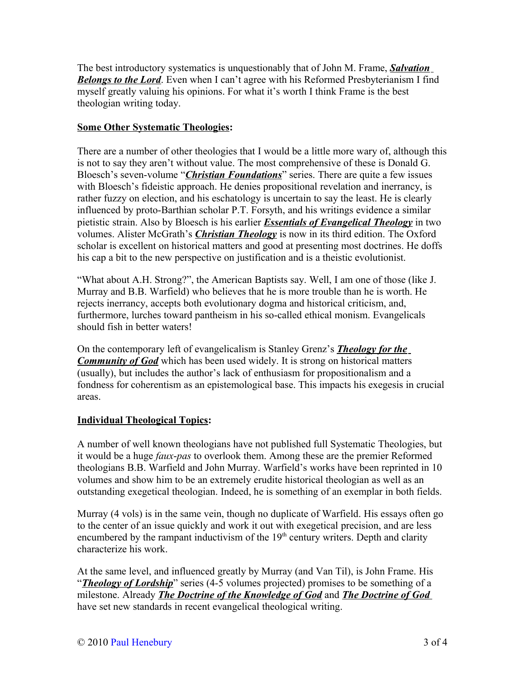The best introductory systematics is unquestionably that of John M. Frame, *Salvation Belongs to the Lord*. Even when I can't agree with his Reformed Presbyterianism I find myself greatly valuing his opinions. For what it's worth I think Frame is the best theologian writing today.

## **Some Other Systematic Theologies:**

There are a number of other theologies that I would be a little more wary of, although this is not to say they aren't without value. The most comprehensive of these is Donald G. Bloesch's seven-volume "*Christian Foundations*" series. There are quite a few issues with Bloesch's fideistic approach. He denies propositional revelation and inerrancy, is rather fuzzy on election, and his eschatology is uncertain to say the least. He is clearly influenced by proto-Barthian scholar P.T. Forsyth, and his writings evidence a similar pietistic strain. Also by Bloesch is his earlier *Essentials of Evangelical Theology* in two volumes. Alister McGrath's *Christian Theology* is now in its third edition. The Oxford scholar is excellent on historical matters and good at presenting most doctrines. He doffs his cap a bit to the new perspective on justification and is a theistic evolutionist.

"What about A.H. Strong?", the American Baptists say. Well, I am one of those (like J. Murray and B.B. Warfield) who believes that he is more trouble than he is worth. He rejects inerrancy, accepts both evolutionary dogma and historical criticism, and, furthermore, lurches toward pantheism in his so-called ethical monism. Evangelicals should fish in better waters!

On the contemporary left of evangelicalism is Stanley Grenz's *Theology for the Community of God* which has been used widely. It is strong on historical matters (usually), but includes the author's lack of enthusiasm for propositionalism and a fondness for coherentism as an epistemological base. This impacts his exegesis in crucial areas.

## **Individual Theological Topics:**

A number of well known theologians have not published full Systematic Theologies, but it would be a huge *faux*-*pas* to overlook them. Among these are the premier Reformed theologians B.B. Warfield and John Murray. Warfield's works have been reprinted in 10 volumes and show him to be an extremely erudite historical theologian as well as an outstanding exegetical theologian. Indeed, he is something of an exemplar in both fields.

Murray (4 vols) is in the same vein, though no duplicate of Warfield. His essays often go to the center of an issue quickly and work it out with exegetical precision, and are less encumbered by the rampant inductivism of the  $19<sup>th</sup>$  century writers. Depth and clarity characterize his work.

At the same level, and influenced greatly by Murray (and Van Til), is John Frame. His "*Theology of Lordship*" series (4-5 volumes projected) promises to be something of a milestone. Already *The Doctrine of the Knowledge of God* and *The Doctrine of God* have set new standards in recent evangelical theological writing.